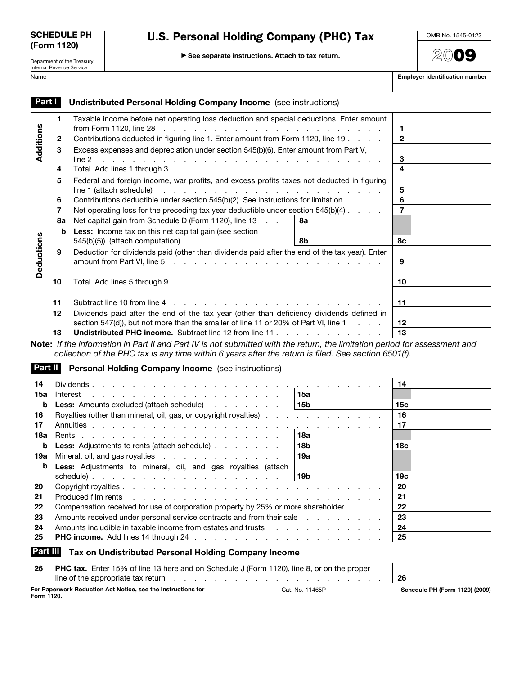| <b>SCHEDULE PH</b> |  |
|--------------------|--|
| (Form 1120)        |  |

## U.S. Personal Holding Company (PHC) Tax

OMB No. 1545-0123

**20**09

Department of the Treasury Internal Revenue Service

© **See separate instructions. Attach to tax return.**

| Name | <b>Employer identification number</b> |
|------|---------------------------------------|
|      |                                       |

| Part I     |    | <b>Undistributed Personal Holding Company Income</b> (see instructions)                                                                                                                                                                  |                 |  |  |  |
|------------|----|------------------------------------------------------------------------------------------------------------------------------------------------------------------------------------------------------------------------------------------|-----------------|--|--|--|
|            | 1  | Taxable income before net operating loss deduction and special deductions. Enter amount                                                                                                                                                  |                 |  |  |  |
|            |    | from Form 1120, line 28 $\ldots$ $\ldots$ $\ldots$ $\ldots$ $\ldots$ $\ldots$ $\ldots$ $\ldots$ $\ldots$                                                                                                                                 | 1               |  |  |  |
| Additions  | 2  | Contributions deducted in figuring line 1. Enter amount from Form 1120, line 19                                                                                                                                                          | $\mathbf{2}$    |  |  |  |
|            | 3  | Excess expenses and depreciation under section 545(b)(6). Enter amount from Part V,                                                                                                                                                      |                 |  |  |  |
|            |    | line 2<br>and a complete the complete state of the complete state of the complete state of the complete state of the complete state of the complete state of the complete state of the complete state of the complete state of the compl | 3               |  |  |  |
|            | 4  |                                                                                                                                                                                                                                          | 4               |  |  |  |
|            | 5  | Federal and foreign income, war profits, and excess profits taxes not deducted in figuring                                                                                                                                               |                 |  |  |  |
|            |    | line 1 (attach schedule)<br>and the contract of the contract of the contract of the contract of the contract of                                                                                                                          | 5               |  |  |  |
|            | 6  | Contributions deductible under section 545(b)(2). See instructions for limitation                                                                                                                                                        | $\bf 6$         |  |  |  |
|            | 7  | Net operating loss for the preceding tax year deductible under section $545(b)(4)$                                                                                                                                                       | $\overline{7}$  |  |  |  |
|            | 8a | Net capital gain from Schedule D (Form 1120), line 13<br>8а                                                                                                                                                                              |                 |  |  |  |
|            | b  | Less: Income tax on this net capital gain (see section                                                                                                                                                                                   |                 |  |  |  |
|            |    | $545(b)(5)$ (attach computation) $\ldots$ $\ldots$ $\ldots$ $\ldots$<br>8b                                                                                                                                                               | <b>8c</b>       |  |  |  |
| Deductions | 9  | Deduction for dividends paid (other than dividends paid after the end of the tax year). Enter                                                                                                                                            |                 |  |  |  |
|            |    |                                                                                                                                                                                                                                          | 9               |  |  |  |
|            | 10 |                                                                                                                                                                                                                                          | 10              |  |  |  |
|            |    |                                                                                                                                                                                                                                          |                 |  |  |  |
|            | 11 | Subtract line 10 from line 4                                                                                                                                                                                                             | 11              |  |  |  |
|            | 12 | Dividends paid after the end of the tax year (other than deficiency dividends defined in                                                                                                                                                 |                 |  |  |  |
|            |    | section 547(d)), but not more than the smaller of line 11 or 20% of Part VI, line 1<br><b>Contractor</b>                                                                                                                                 | 12              |  |  |  |
|            | 13 | Undistributed PHC income. Subtract line 12 from line 11                                                                                                                                                                                  | 13              |  |  |  |
|            |    | Note: If the information in Part II and Part IV is not submitted with the return, the limitation period for assessment and                                                                                                               |                 |  |  |  |
|            |    | collection of the PHC tax is any time within 6 years after the return is filed. See section 6501(f).                                                                                                                                     |                 |  |  |  |
| Part II    |    | <b>Personal Holding Company Income</b> (see instructions)                                                                                                                                                                                |                 |  |  |  |
|            |    |                                                                                                                                                                                                                                          |                 |  |  |  |
| 14         |    |                                                                                                                                                                                                                                          | 14              |  |  |  |
| 15a        |    | 15a<br>Interest<br>the second contract of the contract of the second contract of                                                                                                                                                         |                 |  |  |  |
| b          |    | 15 <sub>b</sub><br>Less: Amounts excluded (attach schedule)                                                                                                                                                                              | 15 <sub>c</sub> |  |  |  |
| 16         |    | Royalties (other than mineral, oil, gas, or copyright royalties)<br>the contract of the contract of the                                                                                                                                  | 16              |  |  |  |
| 17         |    | and the contract of the con-                                                                                                                                                                                                             | 17              |  |  |  |
| 18a        |    | 18a                                                                                                                                                                                                                                      |                 |  |  |  |
| b<br>19a   |    | 18 <sub>b</sub><br>Less: Adjustments to rents (attach schedule)<br>Mineral, oil, and gas royalties<br>19a                                                                                                                                | 18 <sub>c</sub> |  |  |  |
| b          |    |                                                                                                                                                                                                                                          |                 |  |  |  |
|            |    | Less: Adjustments to mineral, oil, and gas royalties (attach<br><b>19b</b>                                                                                                                                                               | 19 <sub>c</sub> |  |  |  |
| 20         |    |                                                                                                                                                                                                                                          | 20              |  |  |  |
| 21         |    | Produced film rents<br>the contract of the contract of the contract of the contract of the contract of                                                                                                                                   | 21              |  |  |  |
| 22         |    | Compensation received for use of corporation property by 25% or more shareholder                                                                                                                                                         | 22              |  |  |  |
| 23         |    | Amounts received under personal service contracts and from their sale                                                                                                                                                                    | 23              |  |  |  |
| 24         |    | Amounts includible in taxable income from estates and trusts<br>the contract of the contract of the contract of                                                                                                                          | 24              |  |  |  |
| 25         |    |                                                                                                                                                                                                                                          | 25              |  |  |  |
| Part III   |    |                                                                                                                                                                                                                                          |                 |  |  |  |
|            |    | Tax on Undistributed Personal Holding Company Income                                                                                                                                                                                     |                 |  |  |  |
| 26         |    | PHC tax. Enter 15% of line 13 here and on Schedule J (Form 1120), line 8, or on the proper                                                                                                                                               |                 |  |  |  |
|            |    |                                                                                                                                                                                                                                          | 26              |  |  |  |

**For Paperwork Reduction Act Notice, see the Instructions for**  Cat. No. 11465P **Schedule PH (Form 1120) (2009)**

**Form 1120.**